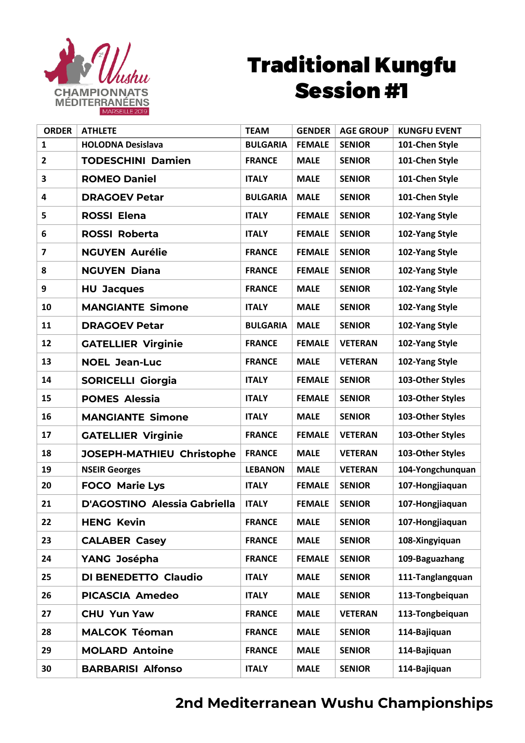

## Traditional Kungfu Session #1

| <b>ORDER</b>            | <b>ATHLETE</b>                      | <b>TEAM</b>     | <b>GENDER</b> | <b>AGE GROUP</b> | <b>KUNGFU EVENT</b> |
|-------------------------|-------------------------------------|-----------------|---------------|------------------|---------------------|
| $\mathbf{1}$            | <b>HOLODNA Desislava</b>            | <b>BULGARIA</b> | <b>FEMALE</b> | <b>SENIOR</b>    | 101-Chen Style      |
| $\overline{2}$          | <b>TODESCHINI Damien</b>            | <b>FRANCE</b>   | <b>MALE</b>   | <b>SENIOR</b>    | 101-Chen Style      |
| 3                       | <b>ROMEO Daniel</b>                 | <b>ITALY</b>    | <b>MALE</b>   | <b>SENIOR</b>    | 101-Chen Style      |
| 4                       | <b>DRAGOEV Petar</b>                | <b>BULGARIA</b> | <b>MALE</b>   | <b>SENIOR</b>    | 101-Chen Style      |
| 5                       | <b>ROSSI Elena</b>                  | <b>ITALY</b>    | <b>FEMALE</b> | <b>SENIOR</b>    | 102-Yang Style      |
| 6                       | <b>ROSSI Roberta</b>                | <b>ITALY</b>    | <b>FEMALE</b> | <b>SENIOR</b>    | 102-Yang Style      |
| $\overline{\mathbf{z}}$ | <b>NGUYEN Aurélie</b>               | <b>FRANCE</b>   | <b>FEMALE</b> | <b>SENIOR</b>    | 102-Yang Style      |
| 8                       | <b>NGUYEN Diana</b>                 | <b>FRANCE</b>   | <b>FEMALE</b> | <b>SENIOR</b>    | 102-Yang Style      |
| 9                       | <b>HU Jacques</b>                   | <b>FRANCE</b>   | <b>MALE</b>   | <b>SENIOR</b>    | 102-Yang Style      |
| 10                      | <b>MANGIANTE Simone</b>             | <b>ITALY</b>    | <b>MALE</b>   | <b>SENIOR</b>    | 102-Yang Style      |
| 11                      | <b>DRAGOEV Petar</b>                | <b>BULGARIA</b> | <b>MALE</b>   | <b>SENIOR</b>    | 102-Yang Style      |
| 12                      | <b>GATELLIER Virginie</b>           | <b>FRANCE</b>   | <b>FEMALE</b> | <b>VETERAN</b>   | 102-Yang Style      |
| 13                      | <b>NOEL Jean-Luc</b>                | <b>FRANCE</b>   | <b>MALE</b>   | <b>VETERAN</b>   | 102-Yang Style      |
| 14                      | <b>SORICELLI Giorgia</b>            | <b>ITALY</b>    | <b>FEMALE</b> | <b>SENIOR</b>    | 103-Other Styles    |
| 15                      | <b>POMES Alessia</b>                | <b>ITALY</b>    | <b>FEMALE</b> | <b>SENIOR</b>    | 103-Other Styles    |
| 16                      | <b>MANGIANTE Simone</b>             | <b>ITALY</b>    | <b>MALE</b>   | <b>SENIOR</b>    | 103-Other Styles    |
| 17                      | <b>GATELLIER Virginie</b>           | <b>FRANCE</b>   | <b>FEMALE</b> | <b>VETERAN</b>   | 103-Other Styles    |
| 18                      | JOSEPH-MATHIEU Christophe           | <b>FRANCE</b>   | <b>MALE</b>   | <b>VETERAN</b>   | 103-Other Styles    |
| 19                      | <b>NSEIR Georges</b>                | <b>LEBANON</b>  | <b>MALE</b>   | <b>VETERAN</b>   | 104-Yongchunquan    |
| 20                      | <b>FOCO Marie Lys</b>               | <b>ITALY</b>    | <b>FEMALE</b> | <b>SENIOR</b>    | 107-Hongjiaquan     |
| 21                      | <b>D'AGOSTINO Alessia Gabriella</b> | <b>ITALY</b>    | <b>FEMALE</b> | <b>SENIOR</b>    | 107-Hongjiaquan     |
| 22                      | <b>HENG Kevin</b>                   | <b>FRANCE</b>   | <b>MALE</b>   | <b>SENIOR</b>    | 107-Hongjiaquan     |
| 23                      | <b>CALABER Casey</b>                | <b>FRANCE</b>   | <b>MALE</b>   | <b>SENIOR</b>    | 108-Xingyiquan      |
| 24                      | YANG Josépha                        | <b>FRANCE</b>   | <b>FEMALE</b> | <b>SENIOR</b>    | 109-Baguazhang      |
| 25                      | <b>DI BENEDETTO Claudio</b>         | <b>ITALY</b>    | <b>MALE</b>   | <b>SENIOR</b>    | 111-Tanglangquan    |
| 26                      | <b>PICASCIA Amedeo</b>              | <b>ITALY</b>    | <b>MALE</b>   | <b>SENIOR</b>    | 113-Tongbeiquan     |
| 27                      | <b>CHU Yun Yaw</b>                  | <b>FRANCE</b>   | <b>MALE</b>   | <b>VETERAN</b>   | 113-Tongbeiquan     |
| 28                      | <b>MALCOK Téoman</b>                | <b>FRANCE</b>   | <b>MALE</b>   | <b>SENIOR</b>    | 114-Bajiquan        |
| 29                      | <b>MOLARD Antoine</b>               | <b>FRANCE</b>   | <b>MALE</b>   | <b>SENIOR</b>    | 114-Bajiquan        |
| 30                      | <b>BARBARISI Alfonso</b>            | <b>ITALY</b>    | <b>MALE</b>   | <b>SENIOR</b>    | 114-Bajiquan        |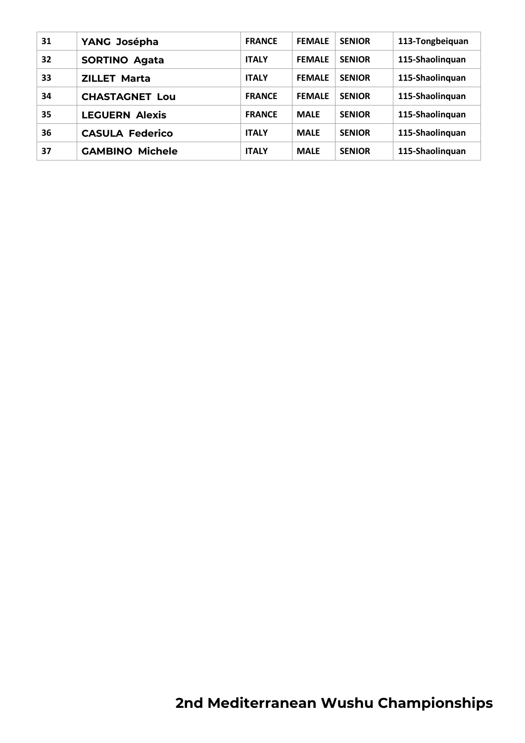| 31 | YANG Josépha           | <b>FRANCE</b> | <b>FEMALE</b> | <b>SENIOR</b> | 113-Tongbeiquan |
|----|------------------------|---------------|---------------|---------------|-----------------|
| 32 | <b>SORTINO Agata</b>   | <b>ITALY</b>  | <b>FEMALE</b> | <b>SENIOR</b> | 115-Shaolinquan |
| 33 | <b>ZILLET Marta</b>    | <b>ITALY</b>  | <b>FEMALE</b> | <b>SENIOR</b> | 115-Shaolinguan |
| 34 | <b>CHASTAGNET Lou</b>  | <b>FRANCE</b> | <b>FEMALE</b> | <b>SENIOR</b> | 115-Shaolinguan |
| 35 | <b>LEGUERN Alexis</b>  | <b>FRANCE</b> | <b>MALE</b>   | <b>SENIOR</b> | 115-Shaolinquan |
| 36 | <b>CASULA Federico</b> | <b>ITALY</b>  | <b>MALE</b>   | <b>SENIOR</b> | 115-Shaolinguan |
| 37 | <b>GAMBINO Michele</b> | <b>ITALY</b>  | <b>MALE</b>   | <b>SENIOR</b> | 115-Shaolinguan |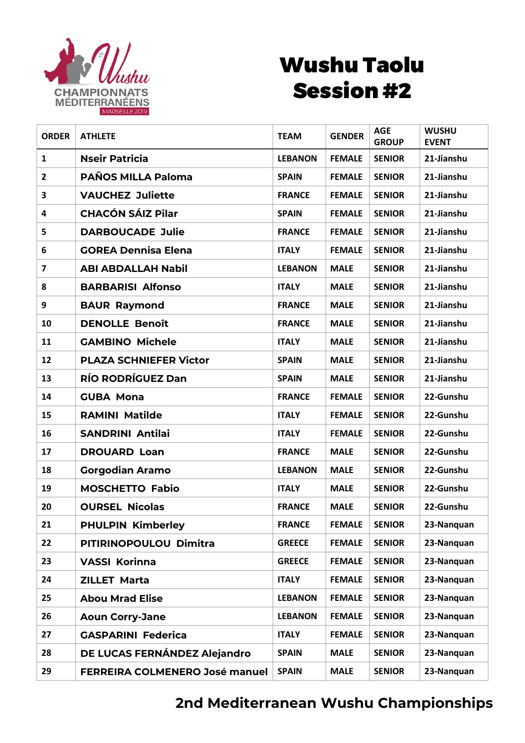

## Wushu Taolu Session #2

| <b>ORDER</b>            | <b>ATHLETE</b>                        | <b>TEAM</b>    | <b>GENDER</b> | <b>AGE</b><br><b>GROUP</b> | <b>WUSHU</b><br><b>EVENT</b> |
|-------------------------|---------------------------------------|----------------|---------------|----------------------------|------------------------------|
| $\mathbf{1}$            | <b>Nseir Patricia</b>                 | <b>LEBANON</b> | <b>FEMALE</b> | <b>SENIOR</b>              | 21-Jianshu                   |
| $\overline{2}$          | <b>PAÑOS MILLA Paloma</b>             | <b>SPAIN</b>   | <b>FEMALE</b> | <b>SENIOR</b>              | 21-Jianshu                   |
| 3                       | <b>VAUCHEZ Juliette</b>               | <b>FRANCE</b>  | <b>FEMALE</b> | <b>SENIOR</b>              | 21-Jianshu                   |
| 4                       | <b>CHACÓN SÁIZ Pilar</b>              | <b>SPAIN</b>   | <b>FEMALE</b> | <b>SENIOR</b>              | 21-Jianshu                   |
| 5                       | <b>DARBOUCADE Julie</b>               | <b>FRANCE</b>  | <b>FEMALE</b> | <b>SENIOR</b>              | 21-Jianshu                   |
| 6                       | <b>GOREA Dennisa Elena</b>            | <b>ITALY</b>   | <b>FEMALE</b> | <b>SENIOR</b>              | 21-Jianshu                   |
| $\overline{\mathbf{z}}$ | <b>ABI ABDALLAH Nabil</b>             | <b>LEBANON</b> | <b>MALE</b>   | <b>SENIOR</b>              | 21-Jianshu                   |
| 8                       | <b>BARBARISI Alfonso</b>              | <b>ITALY</b>   | <b>MALE</b>   | <b>SENIOR</b>              | 21-Jianshu                   |
| 9                       | <b>BAUR Raymond</b>                   | <b>FRANCE</b>  | <b>MALE</b>   | <b>SENIOR</b>              | 21-Jianshu                   |
| 10                      | <b>DENOLLE Benoît</b>                 | <b>FRANCE</b>  | <b>MALE</b>   | <b>SENIOR</b>              | 21-Jianshu                   |
| 11                      | <b>GAMBINO Michele</b>                | <b>ITALY</b>   | <b>MALE</b>   | <b>SENIOR</b>              | 21-Jianshu                   |
| 12                      | <b>PLAZA SCHNIEFER Victor</b>         | <b>SPAIN</b>   | <b>MALE</b>   | <b>SENIOR</b>              | 21-Jianshu                   |
| 13                      | <b>RÍO RODRÍGUEZ Dan</b>              | <b>SPAIN</b>   | <b>MALE</b>   | <b>SENIOR</b>              | 21-Jianshu                   |
| 14                      | <b>GUBA Mona</b>                      | <b>FRANCE</b>  | <b>FEMALE</b> | <b>SENIOR</b>              | 22-Gunshu                    |
| 15                      | <b>RAMINI Matilde</b>                 | <b>ITALY</b>   | <b>FEMALE</b> | <b>SENIOR</b>              | 22-Gunshu                    |
| 16                      | <b>SANDRINI Antilai</b>               | <b>ITALY</b>   | <b>FEMALE</b> | <b>SENIOR</b>              | 22-Gunshu                    |
| 17                      | <b>DROUARD Loan</b>                   | <b>FRANCE</b>  | <b>MALE</b>   | <b>SENIOR</b>              | 22-Gunshu                    |
| 18                      | <b>Gorgodian Aramo</b>                | <b>LEBANON</b> | <b>MALE</b>   | <b>SENIOR</b>              | 22-Gunshu                    |
| 19                      | <b>MOSCHETTO Fabio</b>                | <b>ITALY</b>   | <b>MALE</b>   | <b>SENIOR</b>              | 22-Gunshu                    |
| 20                      | <b>OURSEL Nicolas</b>                 | <b>FRANCE</b>  | <b>MALE</b>   | <b>SENIOR</b>              | 22-Gunshu                    |
| 21                      | <b>PHULPIN Kimberley</b>              | <b>FRANCE</b>  | <b>FEMALE</b> | <b>SENIOR</b>              | 23-Nanguan                   |
| 22                      | PITIRINOPOULOU Dimitra                | <b>GREECE</b>  | <b>FEMALE</b> | <b>SENIOR</b>              | 23-Nanquan                   |
| 23                      | <b>VASSI Korinna</b>                  | <b>GREECE</b>  | <b>FEMALE</b> | <b>SENIOR</b>              | 23-Nanquan                   |
| 24                      | <b>ZILLET Marta</b>                   | <b>ITALY</b>   | <b>FEMALE</b> | <b>SENIOR</b>              | 23-Nanquan                   |
| 25                      | <b>Abou Mrad Elise</b>                | <b>LEBANON</b> | <b>FEMALE</b> | <b>SENIOR</b>              | 23-Nanquan                   |
| 26                      | <b>Aoun Corry-Jane</b>                | <b>LEBANON</b> | <b>FEMALE</b> | <b>SENIOR</b>              | 23-Nanquan                   |
| 27                      | <b>GASPARINI Federica</b>             | <b>ITALY</b>   | <b>FEMALE</b> | <b>SENIOR</b>              | 23-Nanquan                   |
| 28                      | DE LUCAS FERNÁNDEZ Alejandro          | <b>SPAIN</b>   | <b>MALE</b>   | <b>SENIOR</b>              | 23-Nanguan                   |
| 29                      | <b>FERREIRA COLMENERO José manuel</b> | <b>SPAIN</b>   | <b>MALE</b>   | <b>SENIOR</b>              | 23-Nanquan                   |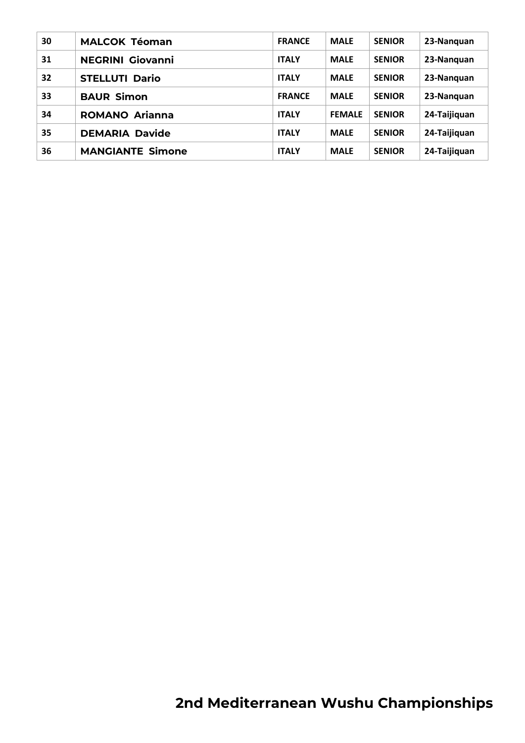| 30 | <b>MALCOK Téoman</b>    | <b>FRANCE</b> | <b>MALE</b>   | <b>SENIOR</b> | 23-Nanguan   |
|----|-------------------------|---------------|---------------|---------------|--------------|
| 31 | <b>NEGRINI Giovanni</b> | <b>ITALY</b>  | <b>MALE</b>   | <b>SENIOR</b> | 23-Nanguan   |
| 32 | <b>STELLUTI Dario</b>   | <b>ITALY</b>  | <b>MALE</b>   | <b>SENIOR</b> | 23-Nanguan   |
| 33 | <b>BAUR Simon</b>       | <b>FRANCE</b> | <b>MALE</b>   | <b>SENIOR</b> | 23-Nanguan   |
| 34 | <b>ROMANO Arianna</b>   | <b>ITALY</b>  | <b>FEMALE</b> | <b>SENIOR</b> | 24-Taijiquan |
| 35 | <b>DEMARIA Davide</b>   | <b>ITALY</b>  | <b>MALE</b>   | <b>SENIOR</b> | 24-Taijiquan |
| 36 | <b>MANGIANTE Simone</b> | <b>ITALY</b>  | <b>MALE</b>   | <b>SENIOR</b> | 24-Taijiquan |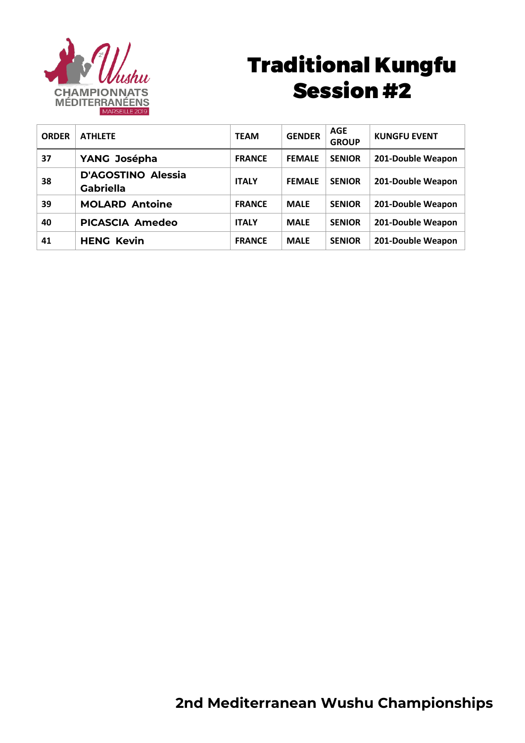

# Traditional Kungfu Session #2

| <b>ORDER</b> | <b>ATHLETE</b>                                | <b>TEAM</b>   | <b>GENDER</b> | <b>AGE</b><br><b>GROUP</b> | <b>KUNGFU EVENT</b> |
|--------------|-----------------------------------------------|---------------|---------------|----------------------------|---------------------|
| 37           | YANG Josépha                                  | <b>FRANCE</b> | <b>FEMALE</b> | <b>SENIOR</b>              | 201-Double Weapon   |
| 38           | <b>D'AGOSTINO Alessia</b><br><b>Gabriella</b> | <b>ITALY</b>  | <b>FEMALE</b> | <b>SENIOR</b>              | 201-Double Weapon   |
| 39           | <b>MOLARD Antoine</b>                         | <b>FRANCE</b> | <b>MALE</b>   | <b>SENIOR</b>              | 201-Double Weapon   |
| 40           | <b>PICASCIA Amedeo</b>                        | <b>ITALY</b>  | <b>MALE</b>   | <b>SENIOR</b>              | 201-Double Weapon   |
| 41           | <b>HENG Kevin</b>                             | <b>FRANCE</b> | <b>MALE</b>   | <b>SENIOR</b>              | 201-Double Weapon   |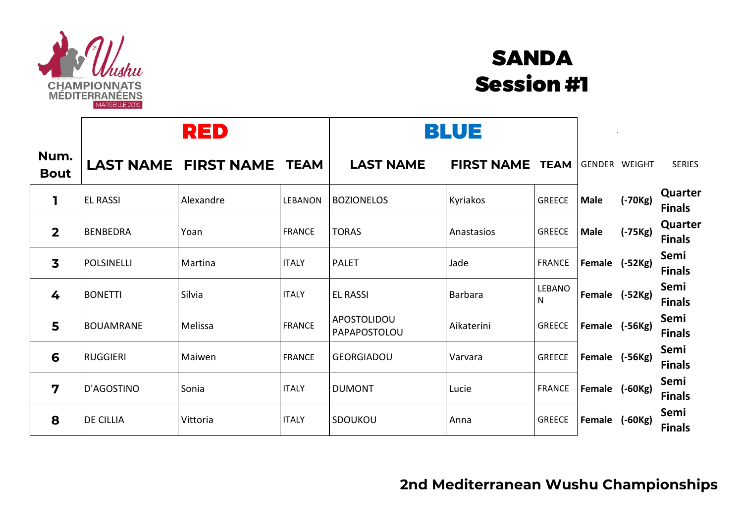

## SANDA Session #1

|                         | RED               |                             |                | BLUE                        |                        |               |                |           |                          |
|-------------------------|-------------------|-----------------------------|----------------|-----------------------------|------------------------|---------------|----------------|-----------|--------------------------|
| Num.<br><b>Bout</b>     |                   | <b>LAST NAME FIRST NAME</b> | <b>TEAM</b>    | <b>LAST NAME</b>            | <b>FIRST NAME TEAM</b> |               | GENDER WEIGHT  |           | <b>SERIES</b>            |
| ı                       | <b>EL RASSI</b>   | Alexandre                   | <b>LEBANON</b> | <b>BOZIONELOS</b>           | Kyriakos               | <b>GREECE</b> | <b>Male</b>    | $(-70Kg)$ | Quarter<br><b>Finals</b> |
| $\overline{2}$          | <b>BENBEDRA</b>   | Yoan                        | <b>FRANCE</b>  | <b>TORAS</b>                | Anastasios             | <b>GREECE</b> | <b>Male</b>    | $(-75Kg)$ | Quarter<br><b>Finals</b> |
| $\overline{\mathbf{3}}$ | <b>POLSINELLI</b> | Martina                     | <b>ITALY</b>   | <b>PALET</b>                | Jade                   | <b>FRANCE</b> | Female (-52Kg) |           | Semi<br><b>Finals</b>    |
| 4                       | <b>BONETTI</b>    | Silvia                      | <b>ITALY</b>   | <b>EL RASSI</b>             | Barbara                | LEBANO<br>N   | Female (-52Kg) |           | Semi<br><b>Finals</b>    |
| 5                       | <b>BOUAMRANE</b>  | Melissa                     | <b>FRANCE</b>  | APOSTOLIDOU<br>PAPAPOSTOLOU | Aikaterini             | <b>GREECE</b> | Female (-56Kg) |           | Semi<br><b>Finals</b>    |
| 6                       | <b>RUGGIERI</b>   | Maiwen                      | <b>FRANCE</b>  | <b>GEORGIADOU</b>           | Varvara                | <b>GREECE</b> | Female (-56Kg) |           | Semi<br><b>Finals</b>    |
| $\overline{\mathbf{z}}$ | D'AGOSTINO        | Sonia                       | <b>ITALY</b>   | <b>DUMONT</b>               | Lucie                  | <b>FRANCE</b> | Female (-60Kg) |           | Semi<br><b>Finals</b>    |
| 8                       | <b>DE CILLIA</b>  | Vittoria                    | <b>ITALY</b>   | SDOUKOU                     | Anna                   | <b>GREECE</b> | Female (-60Kg) |           | Semi<br><b>Finals</b>    |